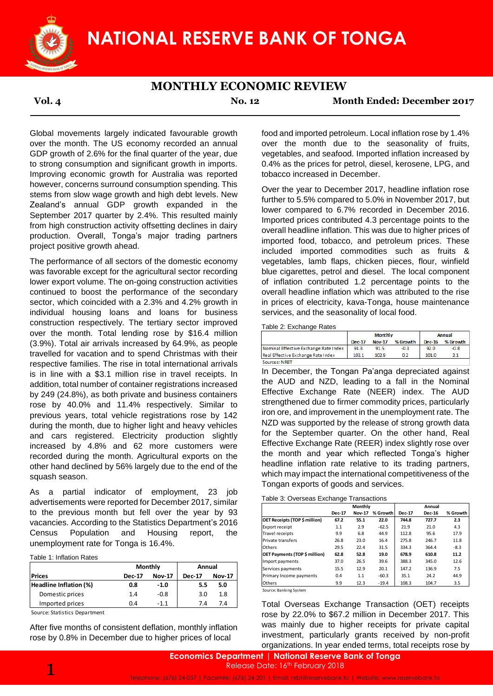

### **MONTHLY ECONOMIC REVIEW**

**Vol. 4 No. 12 Month Ended: December 2017**

Global movements largely indicated favourable growth over the month. The US economy recorded an annual GDP growth of 2.6% for the final quarter of the year, due to strong consumption and significant growth in imports. Improving economic growth for Australia was reported however, concerns surround consumption spending. This stems from slow wage growth and high debt levels. New Zealand's annual GDP growth expanded in the September 2017 quarter by 2.4%. This resulted mainly from high construction activity offsetting declines in dairy production. Overall, Tonga's major trading partners project positive growth ahead.

The performance of all sectors of the domestic economy was favorable except for the agricultural sector recording lower export volume. The on-going construction activities continued to boost the performance of the secondary sector, which coincided with a 2.3% and 4.2% growth in individual housing loans and loans for business construction respectively. The tertiary sector improved over the month. Total lending rose by \$16.4 million (3.9%). Total air arrivals increased by 64.9%, as people travelled for vacation and to spend Christmas with their respective families. The rise in total international arrivals is in line with a \$3.1 million rise in travel receipts. In addition, total number of container registrations increased by 249 (24.8%), as both private and business containers rose by 40.0% and 11.4% respectively. Similar to previous years, total vehicle registrations rose by 142 during the month, due to higher light and heavy vehicles and cars registered. Electricity production slightly increased by 4.8% and 62 more customers were recorded during the month. Agricultural exports on the other hand declined by 56% largely due to the end of the squash season.

As a partial indicator of employment, 23 job advertisements were reported for December 2017, similar to the previous month but fell over the year by 93 vacancies. According to the Statistics Department's 2016 Census Population and Housing report, the unemployment rate for Tonga is 16.4%.

Table 1: Inflation Rates

|                        |               | Monthly       | Annual        |               |  |
|------------------------|---------------|---------------|---------------|---------------|--|
| <b>Prices</b>          | <b>Dec-17</b> | <b>Nov-17</b> | <b>Dec-17</b> | <b>Nov-17</b> |  |
| Headline Inflation (%) | 0.8           | $-1.0$        | 5.5           | 5.0           |  |
| Domestic prices        | 1.4           | $-0.8$        | 3.0           | 1.8           |  |
| Imported prices        | 0.4           | $-1.1$        | 7.4           | 7.4           |  |

Source: Statistics Department

After five months of consistent deflation, monthly inflation rose by 0.8% in December due to higher prices of local

food and imported petroleum. Local inflation rose by 1.4% over the month due to the seasonality of fruits, vegetables, and seafood. Imported inflation increased by 0.4% as the prices for petrol, diesel, kerosene, LPG, and tobacco increased in December.

Over the year to December 2017, headline inflation rose further to 5.5% compared to 5.0% in November 2017, but lower compared to 6.7% recorded in December 2016. Imported prices contributed 4.3 percentage points to the overall headline inflation. This was due to higher prices of imported food, tobacco, and petroleum prices. These included imported commodities such as fruits & vegetables, lamb flaps, chicken pieces, flour, winfield blue cigarettes, petrol and diesel. The local component of inflation contributed 1.2 percentage points to the overall headline inflation which was attributed to the rise in prices of electricity, kava-Tonga, house maintenance services, and the seasonality of local food.

Table 2: Exchange Rates

|                                       |               | <b>Monthly</b> | Annual   |        |          |
|---------------------------------------|---------------|----------------|----------|--------|----------|
|                                       | <b>Dec-17</b> | <b>Nov-17</b>  | % Growth | Dec-16 | % Growth |
| Nominal Effective Exchange Rate Index | 91.3          | 91.5           | $-0.3$   | 92.0   | $-0.8$   |
| Real Effective Exchange Rate Index    | 103.1         | 102.9          |          | 101.0  |          |
| Sources: NRRT                         |               |                |          |        |          |

In December, the Tongan Pa'anga depreciated against the AUD and NZD, leading to a fall in the Nominal Effective Exchange Rate (NEER) index. The AUD strengthened due to firmer commodity prices, particularly iron ore, and improvement in the unemployment rate. The NZD was supported by the release of strong growth data for the September quarter. On the other hand, Real Effective Exchange Rate (REER) index slightly rose over the month and year which reflected Tonga's higher headline inflation rate relative to its trading partners, which may impact the international competitiveness of the Tongan exports of goods and services.

| Table 3: Overseas Exchange Transactions |  |  |
|-----------------------------------------|--|--|
|-----------------------------------------|--|--|

| 1101 DUUU111DUI ZUTT, SIITIIIQI  |               |               |                   | Monthly                              |                               |          | Annual        |               |          |       |      |
|----------------------------------|---------------|---------------|-------------------|--------------------------------------|-------------------------------|----------|---------------|---------------|----------|-------|------|
| fell over the year<br>- 93<br>bv |               |               |                   | <b>Dec-17</b>                        | <b>Nov-17</b>                 | % Growth | <b>Dec-17</b> | <b>Dec-16</b> | % Growth |       |      |
| Statistics Department's 2016     |               |               |                   | <b>OET Receipts (TOP \$ million)</b> | 67.2                          | 55.1     | 22.0          | 744.8         | 727.7    | 2.3   |      |
|                                  |               |               |                   |                                      | Export receipt                | 1.1      | 2.9           | $-62.5$       | 21.9     | 21.0  | 4.3  |
|                                  | Housing       | report.       | the               |                                      | Travel receipts               | 9.9      | 6.8           | 44.9          | 112.8    | 95.6  | 17.9 |
| a is 16.4%.                      |               |               | Private transfers | 26.8                                 | 23.0                          | 16.4     | 275.8         | 246.7         | 11.8     |       |      |
|                                  |               |               | <b>Others</b>     | 29.5                                 | 22.4                          | 31.5     | 334.3         | 364.4         | $-8.3$   |       |      |
|                                  |               |               |                   |                                      | OET Payments (TOP \$ million) | 62.8     | 52.8          | 19.0          | 678.9    | 610.8 | 11.2 |
|                                  |               |               |                   |                                      | Import payments               | 37.0     | 26.5          | 39.6          | 388.3    | 345.0 | 12.6 |
|                                  | Monthly       | Annual        |                   |                                      | Services payments             | 15.5     | 12.9          | 20.1          | 147.2    | 136.9 | 7.5  |
| 17                               | <b>Nov-17</b> | <b>Dec-17</b> | <b>Nov-17</b>     |                                      | Primary Income payments       | 0.4      | 1.1           | $-60.3$       | 35.1     | 24.2  | 44.9 |
|                                  | $-1.0$        | 5.5           | 5.0               |                                      | <b>Others</b>                 | 9.9      | 12.3          | $-19.4$       | 108.3    | 104.7 | 3.5  |
|                                  |               |               |                   |                                      |                               |          |               |               |          |       |      |

Source: Banking System

Total Overseas Exchange Transaction (OET) receipts rose by 22.0% to \$67.2 million in December 2017. This was mainly due to higher receipts for private capital investment, particularly grants received by non-profit organizations. In year ended terms, total receipts rose by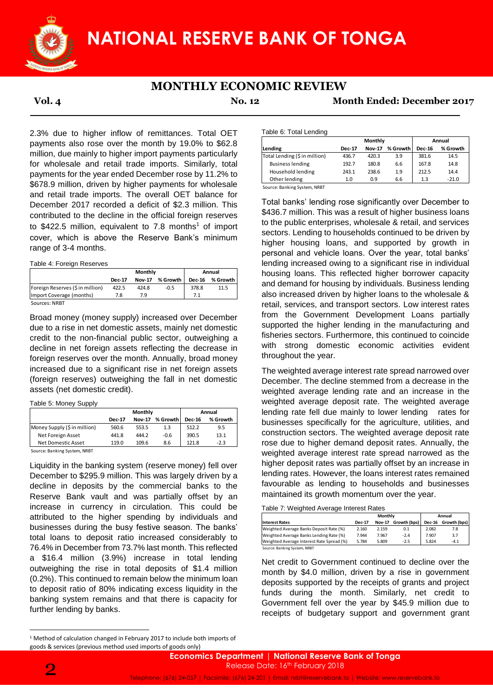

## **MONTHLY ECONOMIC REVIEW**

**Vol. 4 No. 12 Month Ended: December 2017**

2.3% due to higher inflow of remittances. Total OET payments also rose over the month by 19.0% to \$62.8 million, due mainly to higher import payments particularly for wholesale and retail trade imports. Similarly, total payments for the year ended December rose by 11.2% to \$678.9 million, driven by higher payments for wholesale and retail trade imports. The overall OET balance for December 2017 recorded a deficit of \$2.3 million. This contributed to the decline in the official foreign reserves to \$422.5 million, equivalent to 7.8 months<sup>1</sup> of import cover, which is above the Reserve Bank's minimum range of 3-4 months.

Table 4: Foreign Reserves

|                                  |               | Monthly       | Annual        |          |      |
|----------------------------------|---------------|---------------|---------------|----------|------|
|                                  | <b>Dec-17</b> | <b>Nov-17</b> | <b>Dec-16</b> | % Growth |      |
| Foreign Reserves (\$ in million) | 422.5         | 424.8         | $-0.5$        | 378.8    | 11.5 |
| Import Coverage (months)         | 7.8           | 7.9           |               | 7.1      |      |
| Sources: NRBT                    |               |               |               |          |      |

Broad money (money supply) increased over December due to a rise in net domestic assets, mainly net domestic credit to the non-financial public sector, outweighing a decline in net foreign assets reflecting the decrease in foreign reserves over the month. Annually, broad money increased due to a significant rise in net foreign assets (foreign reserves) outweighing the fall in net domestic assets (net domestic credit).

Table 5: Money Supply

|                               |               | Monthly       | Annual   |               |          |
|-------------------------------|---------------|---------------|----------|---------------|----------|
|                               | <b>Dec-17</b> | <b>Nov-17</b> | % Growth | <b>Dec-16</b> | % Growth |
| Money Supply (\$ in million)  | 560.6         | 553.5         | 1.3      | 512.2         | 9.5      |
| Net Foreign Asset             | 441.8         | 444.2         | $-0.6$   | 390.5         | 13.1     |
| Net Domestic Asset            | 119.0         | 109.6         | 8.6      | 121.8         | $-2.3$   |
| Connect Double - Contras MDDT |               |               |          |               |          |

Source: Banking System, NRBT

Liquidity in the banking system (reserve money) fell over December to \$295.9 million. This was largely driven by a decline in deposits by the commercial banks to the Reserve Bank vault and was partially offset by an increase in currency in circulation. This could be attributed to the higher spending by individuals and businesses during the busy festive season. The banks' total loans to deposit ratio increased considerably to 76.4% in December from 73.7% last month. This reflected a \$16.4 million (3.9%) increase in total lending outweighing the rise in total deposits of \$1.4 million (0.2%). This continued to remain below the minimum loan to deposit ratio of 80% indicating excess liquidity in the banking system remains and that there is capacity for further lending by banks.

Table 6: Total Lending

| <b>Dec-17</b> |                         |          |               | Annual   |  |  |
|---------------|-------------------------|----------|---------------|----------|--|--|
|               | <b>Nov-17</b>           | % Growth | <b>Dec-16</b> | % Growth |  |  |
|               | 420.3                   | 3.9      | 381.6         | 14.5     |  |  |
|               | 180.8                   | 6.6      | 167.8         | 14.8     |  |  |
|               | 238.6                   | 1.9      | 212.5         | 14.4     |  |  |
| 1.0           | 0.9                     | 6.6      | 1.3           | $-21.0$  |  |  |
|               | 436.7<br>192.7<br>243.1 |          |               |          |  |  |

Total banks' lending rose significantly over December to \$436.7 million. This was a result of higher business loans to the public enterprises, wholesale & retail, and services sectors. Lending to households continued to be driven by higher housing loans, and supported by growth in personal and vehicle loans. Over the year, total banks' lending increased owing to a significant rise in individual housing loans. This reflected higher borrower capacity and demand for housing by individuals. Business lending also increased driven by higher loans to the wholesale & retail, services, and transport sectors. Low interest rates from the Government Development Loans partially supported the higher lending in the manufacturing and fisheries sectors. Furthermore, this continued to coincide with strong domestic economic activities evident throughout the year.

The weighted average interest rate spread narrowed over December. The decline stemmed from a decrease in the weighted average lending rate and an increase in the weighted average deposit rate. The weighted average lending rate fell due mainly to lower lending rates for businesses specifically for the agriculture, utilities, and construction sectors. The weighted average deposit rate rose due to higher demand deposit rates. Annually, the weighted average interest rate spread narrowed as the higher deposit rates was partially offset by an increase in lending rates. However, the loans interest rates remained favourable as lending to households and businesses maintained its growth momentum over the year.

| Table 7: Weighted Average Interest Rates |
|------------------------------------------|
|------------------------------------------|

|                                           | Monthly       |               |              | Annual        |              |  |
|-------------------------------------------|---------------|---------------|--------------|---------------|--------------|--|
| <b>Interest Rates</b>                     | <b>Dec-17</b> | <b>Nov-17</b> | Growth (bps) | <b>Dec-16</b> | Growth (bps) |  |
| Weighted Average Banks Deposit Rate (%)   | 2.160         | 2.159         | 0.1          | 2.082         | 7.8          |  |
| Weighted Average Banks Lending Rate (%)   | 7.944         | 7.967         | $-2.4$       | 7.907         | 3.7          |  |
| Weighted Average Interest Rate Spread (%) | 5.784         | 5.809         | $-2.5$       | 5.824         | $-4.1$       |  |
| Source: Banking System, NRBT              |               |               |              |               |              |  |

Net credit to Government continued to decline over the month by \$4.0 million, driven by a rise in government deposits supported by the receipts of grants and project funds during the month. Similarly, net credit to Government fell over the year by \$45.9 million due to receipts of budgetary support and government grant



**<sup>.</sup>** <sup>1</sup> Method of calculation changed in February 2017 to include both imports of goods & services (previous method used imports of goods only)